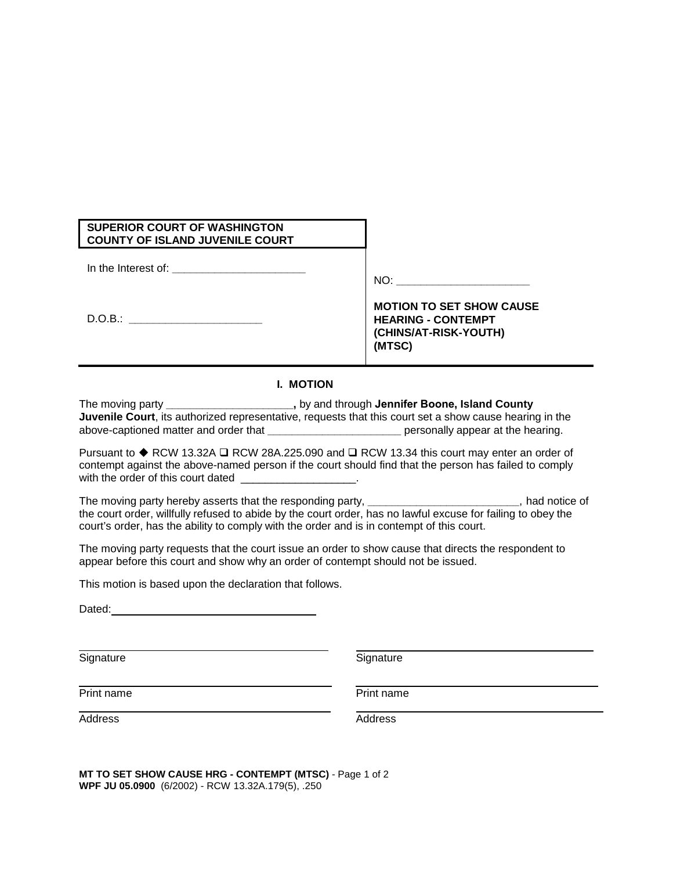| <b>SUPERIOR COURT OF WASHINGTON</b><br><b>COUNTY OF ISLAND JUVENILE COURT</b> |                                                                                       |
|-------------------------------------------------------------------------------|---------------------------------------------------------------------------------------|
| In the Interest of:                                                           | NO:                                                                                   |
| D.O.B.:                                                                       | <b>MOTION TO SET SHOW CAUSE</b><br><b>HEARING - CONTEMPT</b><br>(CHINS/AT-RISK-YOUTH) |

## **I. MOTION**

The moving party **\_\_\_\_\_\_\_\_\_\_\_\_\_\_\_\_\_\_\_\_\_,** by and through **Jennifer Boone, Island County Juvenile Court**, its authorized representative, requests that this court set a show cause hearing in the above-captioned matter and order that **the set of the set of the set of the set of the hearing.** And  $\alpha$  personally appear at the hearing.

Pursuant to  $\blacklozenge$  RCW 13.32A  $\square$  RCW 28A.225.090 and  $\square$  RCW 13.34 this court may enter an order of contempt against the above-named person if the court should find that the person has failed to comply with the order of this court dated

The moving party hereby asserts that the responding party, **\_\_\_\_\_\_\_\_\_\_\_\_\_\_\_\_\_\_\_\_\_\_\_\_\_**, had notice of the court order, willfully refused to abide by the court order, has no lawful excuse for failing to obey the court's order, has the ability to comply with the order and is in contempt of this court.

The moving party requests that the court issue an order to show cause that directs the respondent to appear before this court and show why an order of contempt should not be issued.

This motion is based upon the declaration that follows.

Dated: **Dated:** *Partnership of the state of the state of the state of the state of the state of the state of the state of the state of the state of the state of the state of the state of the state of the state of the sta* 

Signature Signature Signature Signature Signature

**(MTSC)**

Print name

Address Address Address Address Address Address Address Address Address Address Address Address Address Address Address Address Address Address Address Address Address Address Address Address Address Address Address Addres

**MT TO SET SHOW CAUSE HRG - CONTEMPT (MTSC)** - Page 1 of 2 **WPF JU 05.0900** (6/2002) - RCW 13.32A.179(5), .250